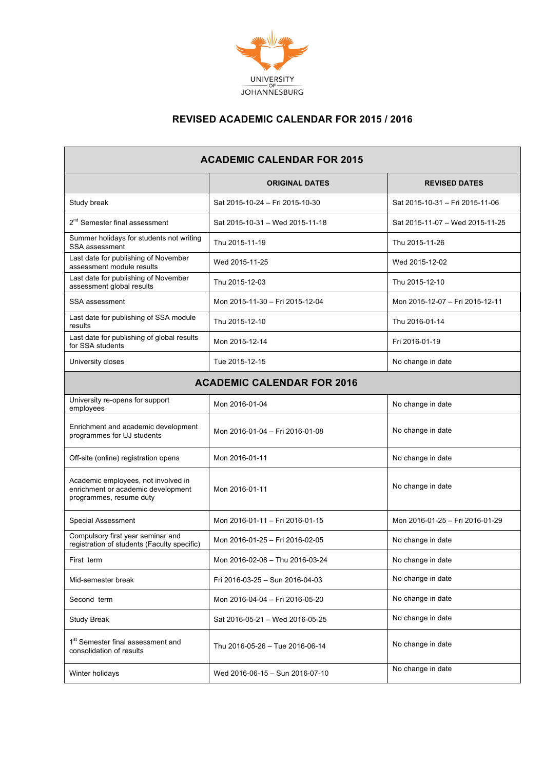

## **REVISED ACADEMIC CALENDAR FOR 2015 / 2016**

| <b>ACADEMIC CALENDAR FOR 2015</b>                                                                    |                                 |                                 |  |
|------------------------------------------------------------------------------------------------------|---------------------------------|---------------------------------|--|
|                                                                                                      | <b>ORIGINAL DATES</b>           | <b>REVISED DATES</b>            |  |
| Study break                                                                                          | Sat 2015-10-24 - Fri 2015-10-30 | Sat 2015-10-31 - Fri 2015-11-06 |  |
| 2 <sup>nd</sup> Semester final assessment                                                            | Sat 2015-10-31 - Wed 2015-11-18 | Sat 2015-11-07 - Wed 2015-11-25 |  |
| Summer holidays for students not writing<br>SSA assessment                                           | Thu 2015-11-19                  | Thu 2015-11-26                  |  |
| Last date for publishing of November<br>assessment module results                                    | Wed 2015-11-25                  | Wed 2015-12-02                  |  |
| Last date for publishing of November<br>assessment global results                                    | Thu 2015-12-03                  | Thu 2015-12-10                  |  |
| SSA assessment                                                                                       | Mon 2015-11-30 - Fri 2015-12-04 | Mon 2015-12-07 - Fri 2015-12-11 |  |
| Last date for publishing of SSA module<br>results                                                    | Thu 2015-12-10                  | Thu 2016-01-14                  |  |
| Last date for publishing of global results<br>for SSA students                                       | Mon 2015-12-14                  | Fri 2016-01-19                  |  |
| University closes                                                                                    | Tue 2015-12-15                  | No change in date               |  |
| <b>ACADEMIC CALENDAR FOR 2016</b>                                                                    |                                 |                                 |  |
| University re-opens for support<br>employees                                                         | Mon 2016-01-04                  | No change in date               |  |
| Enrichment and academic development<br>programmes for UJ students                                    | Mon 2016-01-04 - Fri 2016-01-08 | No change in date               |  |
| Off-site (online) registration opens                                                                 | Mon 2016-01-11                  | No change in date               |  |
| Academic employees, not involved in<br>enrichment or academic development<br>programmes, resume duty | Mon 2016-01-11                  | No change in date               |  |
| <b>Special Assessment</b>                                                                            | Mon 2016-01-11 - Fri 2016-01-15 | Mon 2016-01-25 - Fri 2016-01-29 |  |
| Compulsory first year seminar and<br>registration of students (Faculty specific)                     | Mon 2016-01-25 - Fri 2016-02-05 | No change in date               |  |
| First term                                                                                           | Mon 2016-02-08 - Thu 2016-03-24 | No change in date               |  |
| Mid-semester break                                                                                   | Fri 2016-03-25 - Sun 2016-04-03 | No change in date               |  |
| Second term                                                                                          | Mon 2016-04-04 - Fri 2016-05-20 | No change in date               |  |
| <b>Study Break</b>                                                                                   | Sat 2016-05-21 - Wed 2016-05-25 | No change in date               |  |
| 1 <sup>st</sup> Semester final assessment and<br>consolidation of results                            | Thu 2016-05-26 - Tue 2016-06-14 | No change in date               |  |
| Winter holidays                                                                                      | Wed 2016-06-15 – Sun 2016-07-10 | No change in date               |  |